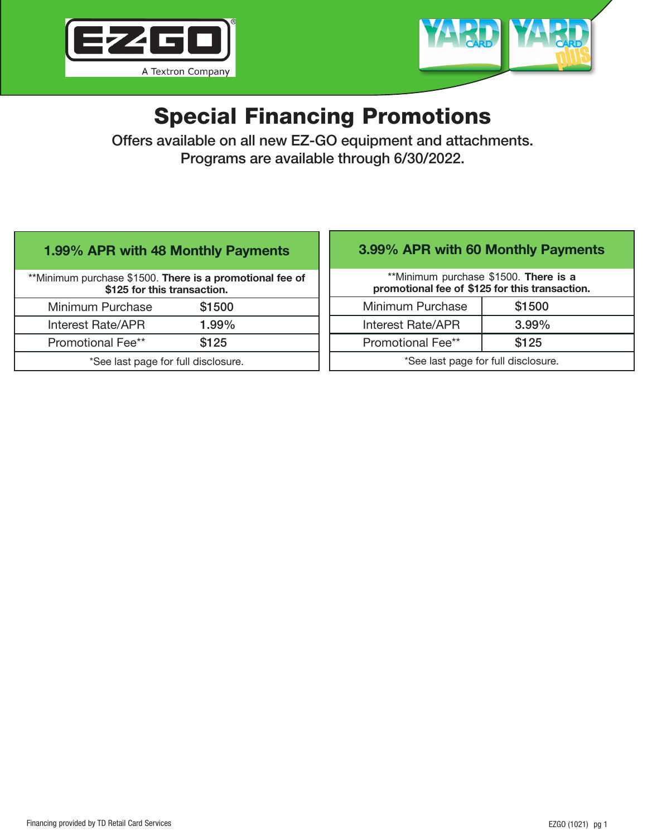



# Special Financing Promotions

Offers available on all new EZ-GO equipment and attachments. Programs are available through 6/30/2022.

# 1.99% APR with 48 Monthly Payments

\*\*Minimum purchase \$1500. There is a promotional fee of \$125 for this transaction. Minimum Purchase \$1500 Interest Rate/APR 1.99% Promotional Fee\*\* \$125

\*See last page for full disclosure.

# 3.99% APR with 60 Monthly Payments

\*\*Minimum purchase \$1500. There is a promotional fee of \$125 for this transaction.

| Minimum Purchase                    | \$1500   |
|-------------------------------------|----------|
| Interest Rate/APR                   | $3.99\%$ |
| <b>Promotional Fee**</b>            | \$125    |
| *See last page for full disclosure. |          |